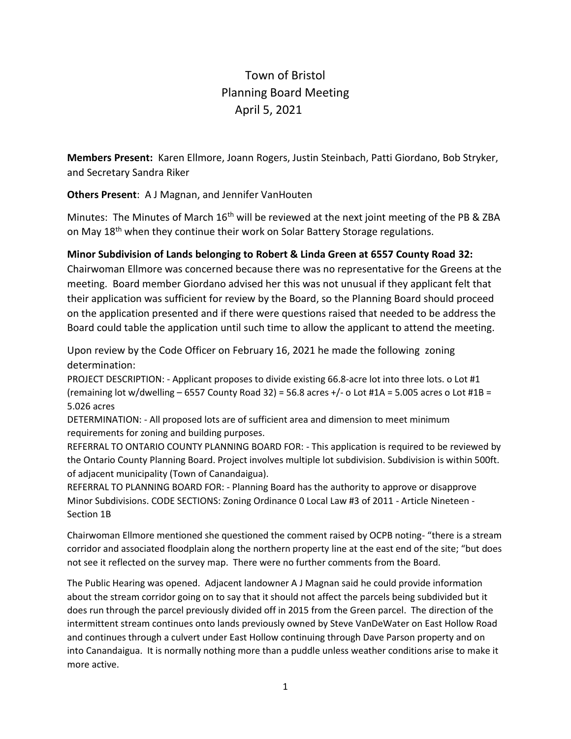# Town of Bristol Planning Board Meeting April 5, 2021

**Members Present:** Karen Ellmore, Joann Rogers, Justin Steinbach, Patti Giordano, Bob Stryker, and Secretary Sandra Riker

**Others Present**: A J Magnan, and Jennifer VanHouten

Minutes: The Minutes of March 16<sup>th</sup> will be reviewed at the next joint meeting of the PB & ZBA on May 18<sup>th</sup> when they continue their work on Solar Battery Storage regulations.

## **Minor Subdivision of Lands belonging to Robert & Linda Green at 6557 County Road 32:**

Chairwoman Ellmore was concerned because there was no representative for the Greens at the meeting. Board member Giordano advised her this was not unusual if they applicant felt that their application was sufficient for review by the Board, so the Planning Board should proceed on the application presented and if there were questions raised that needed to be address the Board could table the application until such time to allow the applicant to attend the meeting.

Upon review by the Code Officer on February 16, 2021 he made the following zoning determination:

PROJECT DESCRIPTION: - Applicant proposes to divide existing 66.8-acre lot into three lots. o Lot #1 (remaining lot w/dwelling – 6557 County Road 32) = 56.8 acres  $+/-$  o Lot #1A = 5.005 acres o Lot #1B = 5.026 acres

DETERMINATION: - All proposed lots are of sufficient area and dimension to meet minimum requirements for zoning and building purposes.

REFERRAL TO ONTARIO COUNTY PLANNING BOARD FOR: - This application is required to be reviewed by the Ontario County Planning Board. Project involves multiple lot subdivision. Subdivision is within 500ft. of adjacent municipality (Town of Canandaigua).

REFERRAL TO PLANNING BOARD FOR: - Planning Board has the authority to approve or disapprove Minor Subdivisions. CODE SECTIONS: Zoning Ordinance 0 Local Law #3 of 2011 - Article Nineteen - Section 1B

Chairwoman Ellmore mentioned she questioned the comment raised by OCPB noting- "there is a stream corridor and associated floodplain along the northern property line at the east end of the site; "but does not see it reflected on the survey map. There were no further comments from the Board.

The Public Hearing was opened. Adjacent landowner A J Magnan said he could provide information about the stream corridor going on to say that it should not affect the parcels being subdivided but it does run through the parcel previously divided off in 2015 from the Green parcel. The direction of the intermittent stream continues onto lands previously owned by Steve VanDeWater on East Hollow Road and continues through a culvert under East Hollow continuing through Dave Parson property and on into Canandaigua. It is normally nothing more than a puddle unless weather conditions arise to make it more active.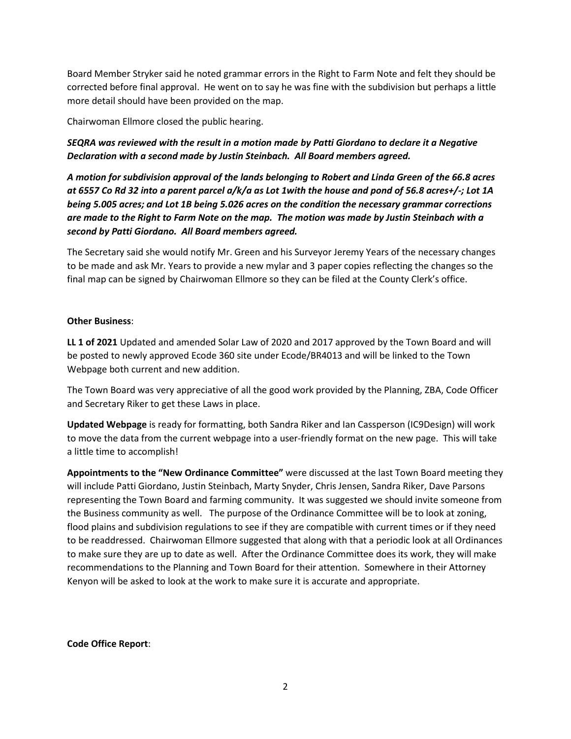Board Member Stryker said he noted grammar errors in the Right to Farm Note and felt they should be corrected before final approval. He went on to say he was fine with the subdivision but perhaps a little more detail should have been provided on the map.

Chairwoman Ellmore closed the public hearing.

*SEQRA was reviewed with the result in a motion made by Patti Giordano to declare it a Negative Declaration with a second made by Justin Steinbach. All Board members agreed.*

*A motion for subdivision approval of the lands belonging to Robert and Linda Green of the 66.8 acres at 6557 Co Rd 32 into a parent parcel a/k/a as Lot 1with the house and pond of 56.8 acres+/-; Lot 1A being 5.005 acres; and Lot 1B being 5.026 acres on the condition the necessary grammar corrections are made to the Right to Farm Note on the map. The motion was made by Justin Steinbach with a second by Patti Giordano. All Board members agreed.*

The Secretary said she would notify Mr. Green and his Surveyor Jeremy Years of the necessary changes to be made and ask Mr. Years to provide a new mylar and 3 paper copies reflecting the changes so the final map can be signed by Chairwoman Ellmore so they can be filed at the County Clerk's office.

#### **Other Business**:

**LL 1 of 2021** Updated and amended Solar Law of 2020 and 2017 approved by the Town Board and will be posted to newly approved Ecode 360 site under Ecode/BR4013 and will be linked to the Town Webpage both current and new addition.

The Town Board was very appreciative of all the good work provided by the Planning, ZBA, Code Officer and Secretary Riker to get these Laws in place.

**Updated Webpage** is ready for formatting, both Sandra Riker and Ian Cassperson (IC9Design) will work to move the data from the current webpage into a user-friendly format on the new page. This will take a little time to accomplish!

**Appointments to the "New Ordinance Committee"** were discussed at the last Town Board meeting they will include Patti Giordano, Justin Steinbach, Marty Snyder, Chris Jensen, Sandra Riker, Dave Parsons representing the Town Board and farming community. It was suggested we should invite someone from the Business community as well. The purpose of the Ordinance Committee will be to look at zoning, flood plains and subdivision regulations to see if they are compatible with current times or if they need to be readdressed. Chairwoman Ellmore suggested that along with that a periodic look at all Ordinances to make sure they are up to date as well. After the Ordinance Committee does its work, they will make recommendations to the Planning and Town Board for their attention. Somewhere in their Attorney Kenyon will be asked to look at the work to make sure it is accurate and appropriate.

#### **Code Office Report**: